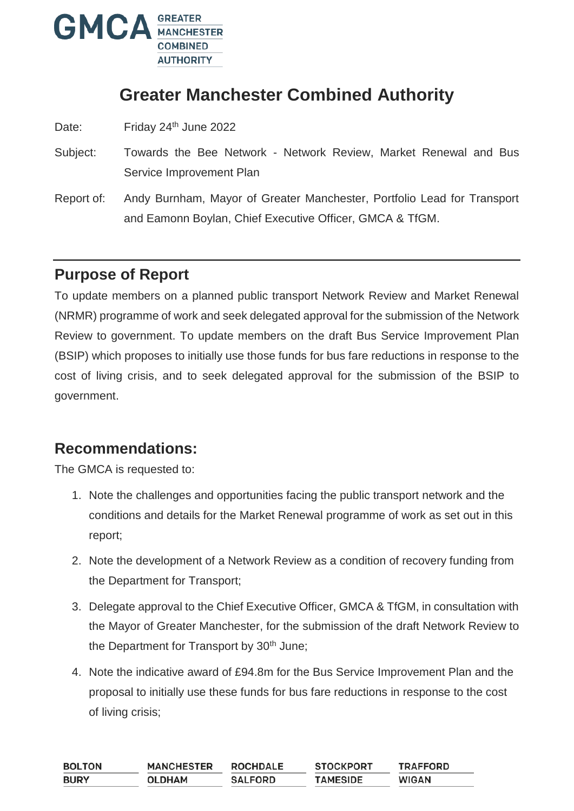

# **Greater Manchester Combined Authority**

Date: Friday 24<sup>th</sup> June 2022

- Subject: Towards the Bee Network Network Review, Market Renewal and Bus Service Improvement Plan
- Report of: Andy Burnham, Mayor of Greater Manchester, Portfolio Lead for Transport and Eamonn Boylan, Chief Executive Officer, GMCA & TfGM.

## **Purpose of Report**

To update members on a planned public transport Network Review and Market Renewal (NRMR) programme of work and seek delegated approval for the submission of the Network Review to government. To update members on the draft Bus Service Improvement Plan (BSIP) which proposes to initially use those funds for bus fare reductions in response to the cost of living crisis, and to seek delegated approval for the submission of the BSIP to government.

## **Recommendations:**

The GMCA is requested to:

- 1. Note the challenges and opportunities facing the public transport network and the conditions and details for the Market Renewal programme of work as set out in this report;
- 2. Note the development of a Network Review as a condition of recovery funding from the Department for Transport;
- 3. Delegate approval to the Chief Executive Officer, GMCA & TfGM, in consultation with the Mayor of Greater Manchester, for the submission of the draft Network Review to the Department for Transport by 30<sup>th</sup> June;
- 4. Note the indicative award of £94.8m for the Bus Service Improvement Plan and the proposal to initially use these funds for bus fare reductions in response to the cost of living crisis;

| BOLTON | <b>MANCHESTER</b> | <b>ROCHDALE</b> | <b>STOCKPORT</b> | <b>TRAFFORD</b> |
|--------|-------------------|-----------------|------------------|-----------------|
| BURY   | <b>OLDHAM</b>     | <b>SALFORD</b>  | <b>TAMESIDE</b>  | <b>WIGAN</b>    |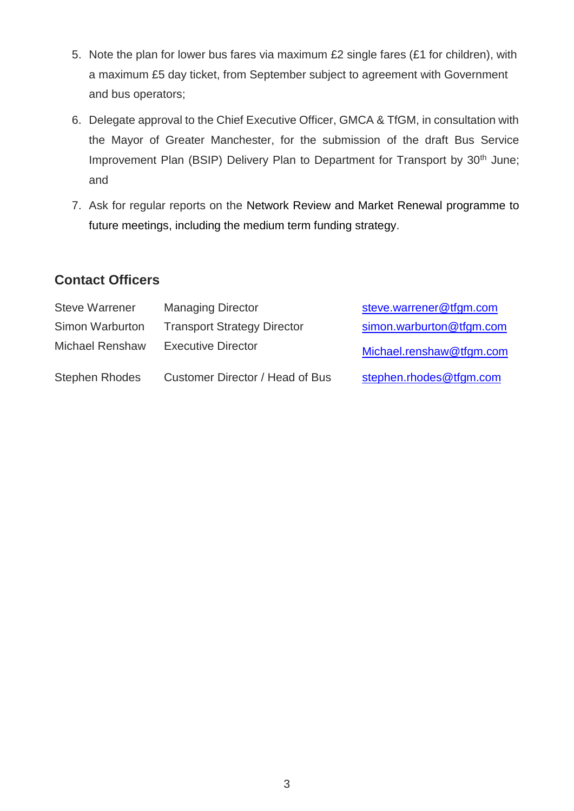- 5. Note the plan for lower bus fares via maximum £2 single fares (£1 for children), with a maximum £5 day ticket, from September subject to agreement with Government and bus operators;
- 6. Delegate approval to the Chief Executive Officer, GMCA & TfGM, in consultation with the Mayor of Greater Manchester, for the submission of the draft Bus Service Improvement Plan (BSIP) Delivery Plan to Department for Transport by 30<sup>th</sup> June; and
- 7. Ask for regular reports on the Network Review and Market Renewal programme to future meetings, including the medium term funding strategy.

## **Contact Officers**

| <b>Steve Warrener</b>  | <b>Managing Director</b>           | steve.warrener@tfgm.com  |
|------------------------|------------------------------------|--------------------------|
| Simon Warburton        | <b>Transport Strategy Director</b> | simon.warburton@tfgm.com |
| <b>Michael Renshaw</b> | <b>Executive Director</b>          | Michael.renshaw@tfgm.com |
| <b>Stephen Rhodes</b>  | Customer Director / Head of Bus    | stephen.rhodes@tfgm.com  |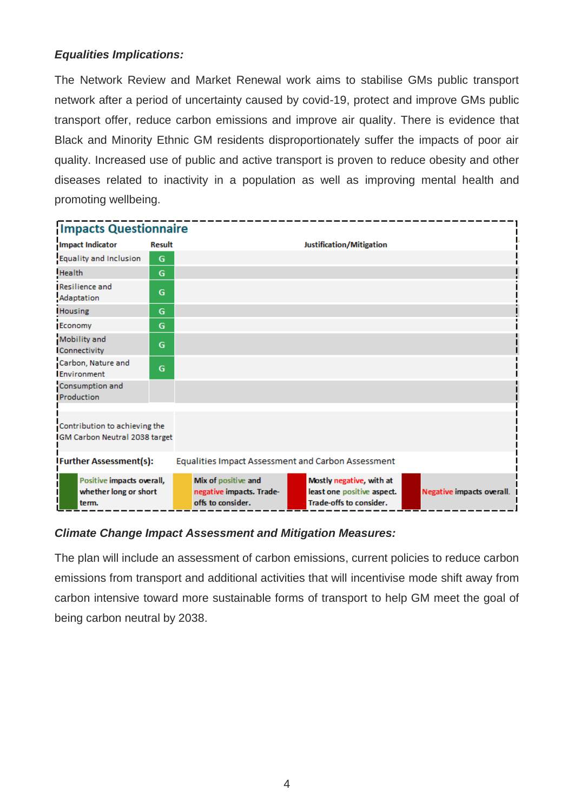#### *Equalities Implications:*

The Network Review and Market Renewal work aims to stabilise GMs public transport network after a period of uncertainty caused by covid-19, protect and improve GMs public transport offer, reduce carbon emissions and improve air quality. There is evidence that Black and Minority Ethnic GM residents disproportionately suffer the impacts of poor air quality. Increased use of public and active transport is proven to reduce obesity and other diseases related to inactivity in a population as well as improving mental health and promoting wellbeing.



#### *Climate Change Impact Assessment and Mitigation Measures:*

The plan will include an assessment of carbon emissions, current policies to reduce carbon emissions from transport and additional activities that will incentivise mode shift away from carbon intensive toward more sustainable forms of transport to help GM meet the goal of being carbon neutral by 2038.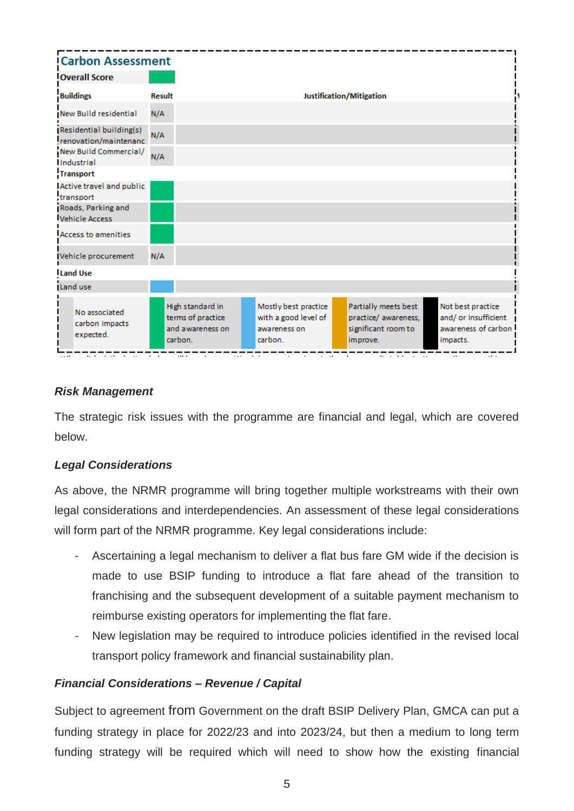

#### *Risk Management*

The strategic risk issues with the programme are financial and legal, which are covered below.

#### *Legal Considerations*

As above, the NRMR programme will bring together multiple workstreams with their own legal considerations and interdependencies. An assessment of these legal considerations will form part of the NRMR programme. Key legal considerations include:

- Ascertaining a legal mechanism to deliver a flat bus fare GM wide if the decision is made to use BSIP funding to introduce a flat fare ahead of the transition to franchising and the subsequent development of a suitable payment mechanism to reimburse existing operators for implementing the flat fare.
- New legislation may be required to introduce policies identified in the revised local transport policy framework and financial sustainability plan.

#### *Financial Considerations – Revenue / Capital*

Subject to agreement from Government on the draft BSIP Delivery Plan, GMCA can put a funding strategy in place for 2022/23 and into 2023/24, but then a medium to long term funding strategy will be required which will need to show how the existing financial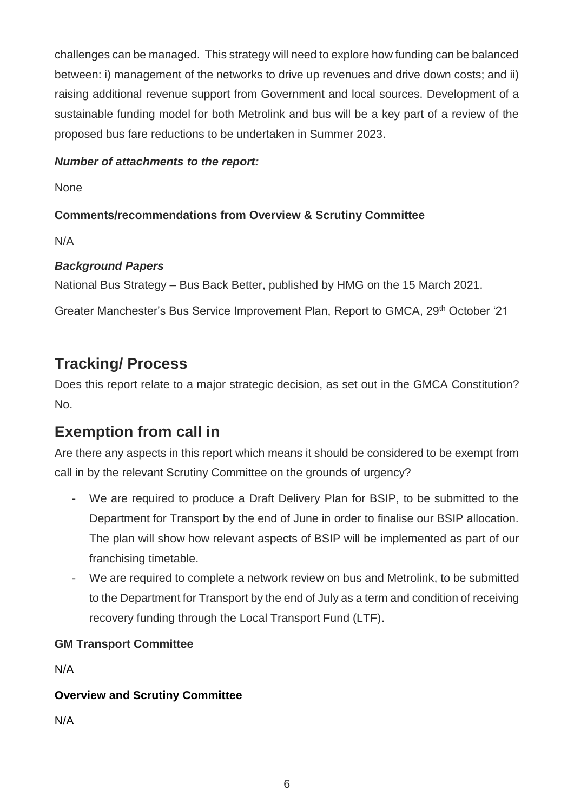challenges can be managed. This strategy will need to explore how funding can be balanced between: i) management of the networks to drive up revenues and drive down costs; and ii) raising additional revenue support from Government and local sources. Development of a sustainable funding model for both Metrolink and bus will be a key part of a review of the proposed bus fare reductions to be undertaken in Summer 2023.

#### *Number of attachments to the report:*

None

#### **Comments/recommendations from Overview & Scrutiny Committee**

N/A

#### *Background Papers*

National Bus Strategy – Bus Back Better, published by HMG on the 15 March 2021.

Greater Manchester's Bus Service Improvement Plan, Report to GMCA, 29th October '21

# **Tracking/ Process**

Does this report relate to a major strategic decision, as set out in the GMCA Constitution? No.

# **Exemption from call in**

Are there any aspects in this report which means it should be considered to be exempt from call in by the relevant Scrutiny Committee on the grounds of urgency?

- We are required to produce a Draft Delivery Plan for BSIP, to be submitted to the Department for Transport by the end of June in order to finalise our BSIP allocation. The plan will show how relevant aspects of BSIP will be implemented as part of our franchising timetable.
- We are required to complete a network review on bus and Metrolink, to be submitted to the Department for Transport by the end of July as a term and condition of receiving recovery funding through the Local Transport Fund (LTF).

### **GM Transport Committee**

N/A

### **Overview and Scrutiny Committee**

N/A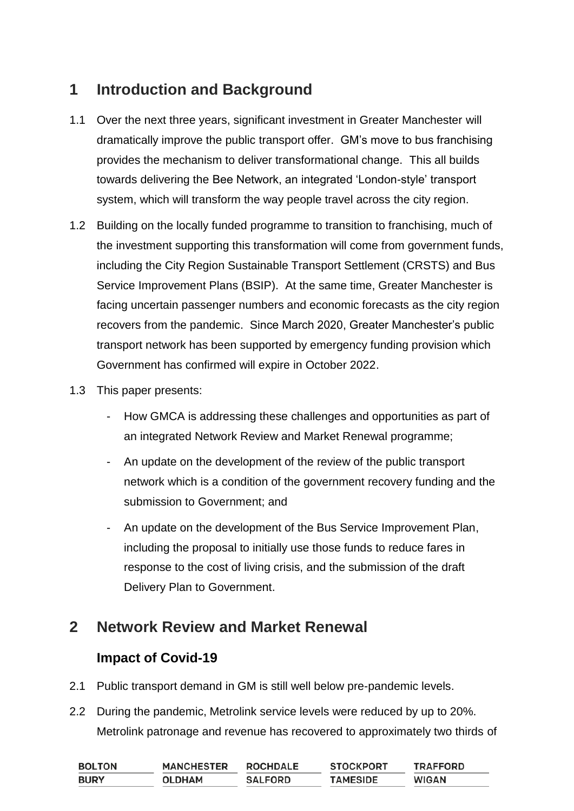# **1 Introduction and Background**

- 1.1 Over the next three years, significant investment in Greater Manchester will dramatically improve the public transport offer. GM's move to bus franchising provides the mechanism to deliver transformational change. This all builds towards delivering the Bee Network, an integrated 'London-style' transport system, which will transform the way people travel across the city region.
- 1.2 Building on the locally funded programme to transition to franchising, much of the investment supporting this transformation will come from government funds, including the City Region Sustainable Transport Settlement (CRSTS) and Bus Service Improvement Plans (BSIP). At the same time, Greater Manchester is facing uncertain passenger numbers and economic forecasts as the city region recovers from the pandemic. Since March 2020, Greater Manchester's public transport network has been supported by emergency funding provision which Government has confirmed will expire in October 2022.
- 1.3 This paper presents:
	- How GMCA is addressing these challenges and opportunities as part of an integrated Network Review and Market Renewal programme;
	- An update on the development of the review of the public transport network which is a condition of the government recovery funding and the submission to Government; and
	- An update on the development of the Bus Service Improvement Plan, including the proposal to initially use those funds to reduce fares in response to the cost of living crisis, and the submission of the draft Delivery Plan to Government.

## **2 Network Review and Market Renewal**

### **Impact of Covid-19**

- 2.1 Public transport demand in GM is still well below pre-pandemic levels.
- 2.2 During the pandemic, Metrolink service levels were reduced by up to 20%. Metrolink patronage and revenue has recovered to approximately two thirds of

| <b>BOLTON</b> | <b>MANCHESTER</b> | <b>ROCHDALE</b> | <b>STOCKPORT</b> | <b>TRAFFORD</b> |
|---------------|-------------------|-----------------|------------------|-----------------|
| <b>BURY</b>   | <b>OLDHAM</b>     | <b>SALFORD</b>  | <b>TAMESIDE</b>  | <b>WIGAN</b>    |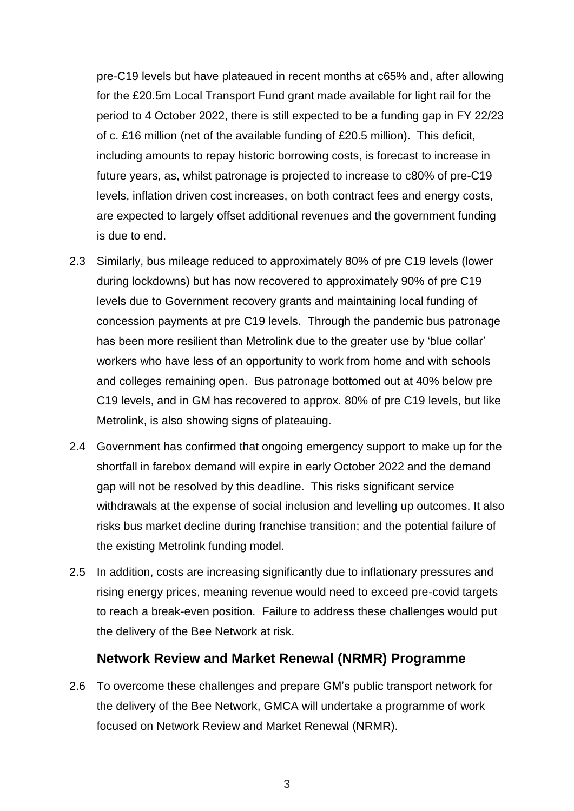pre-C19 levels but have plateaued in recent months at c65% and, after allowing for the £20.5m Local Transport Fund grant made available for light rail for the period to 4 October 2022, there is still expected to be a funding gap in FY 22/23 of c. £16 million (net of the available funding of £20.5 million). This deficit, including amounts to repay historic borrowing costs, is forecast to increase in future years, as, whilst patronage is projected to increase to c80% of pre-C19 levels, inflation driven cost increases, on both contract fees and energy costs, are expected to largely offset additional revenues and the government funding is due to end.

- 2.3 Similarly, bus mileage reduced to approximately 80% of pre C19 levels (lower during lockdowns) but has now recovered to approximately 90% of pre C19 levels due to Government recovery grants and maintaining local funding of concession payments at pre C19 levels. Through the pandemic bus patronage has been more resilient than Metrolink due to the greater use by 'blue collar' workers who have less of an opportunity to work from home and with schools and colleges remaining open. Bus patronage bottomed out at 40% below pre C19 levels, and in GM has recovered to approx. 80% of pre C19 levels, but like Metrolink, is also showing signs of plateauing.
- 2.4 Government has confirmed that ongoing emergency support to make up for the shortfall in farebox demand will expire in early October 2022 and the demand gap will not be resolved by this deadline. This risks significant service withdrawals at the expense of social inclusion and levelling up outcomes. It also risks bus market decline during franchise transition; and the potential failure of the existing Metrolink funding model.
- 2.5 In addition, costs are increasing significantly due to inflationary pressures and rising energy prices, meaning revenue would need to exceed pre-covid targets to reach a break-even position. Failure to address these challenges would put the delivery of the Bee Network at risk.

#### **Network Review and Market Renewal (NRMR) Programme**

2.6 To overcome these challenges and prepare GM's public transport network for the delivery of the Bee Network, GMCA will undertake a programme of work focused on Network Review and Market Renewal (NRMR).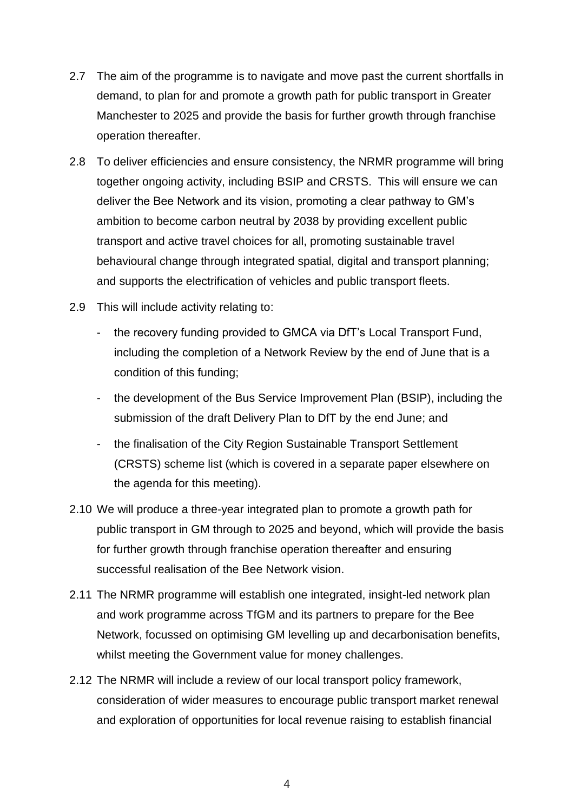- 2.7 The aim of the programme is to navigate and move past the current shortfalls in demand, to plan for and promote a growth path for public transport in Greater Manchester to 2025 and provide the basis for further growth through franchise operation thereafter.
- 2.8 To deliver efficiencies and ensure consistency, the NRMR programme will bring together ongoing activity, including BSIP and CRSTS. This will ensure we can deliver the Bee Network and its vision, promoting a clear pathway to GM's ambition to become carbon neutral by 2038 by providing excellent public transport and active travel choices for all, promoting sustainable travel behavioural change through integrated spatial, digital and transport planning; and supports the electrification of vehicles and public transport fleets.
- 2.9 This will include activity relating to:
	- the recovery funding provided to GMCA via DfT's Local Transport Fund, including the completion of a Network Review by the end of June that is a condition of this funding;
	- the development of the Bus Service Improvement Plan (BSIP), including the submission of the draft Delivery Plan to DfT by the end June; and
	- the finalisation of the City Region Sustainable Transport Settlement (CRSTS) scheme list (which is covered in a separate paper elsewhere on the agenda for this meeting).
- 2.10 We will produce a three-year integrated plan to promote a growth path for public transport in GM through to 2025 and beyond, which will provide the basis for further growth through franchise operation thereafter and ensuring successful realisation of the Bee Network vision.
- 2.11 The NRMR programme will establish one integrated, insight-led network plan and work programme across TfGM and its partners to prepare for the Bee Network, focussed on optimising GM levelling up and decarbonisation benefits, whilst meeting the Government value for money challenges.
- 2.12 The NRMR will include a review of our local transport policy framework, consideration of wider measures to encourage public transport market renewal and exploration of opportunities for local revenue raising to establish financial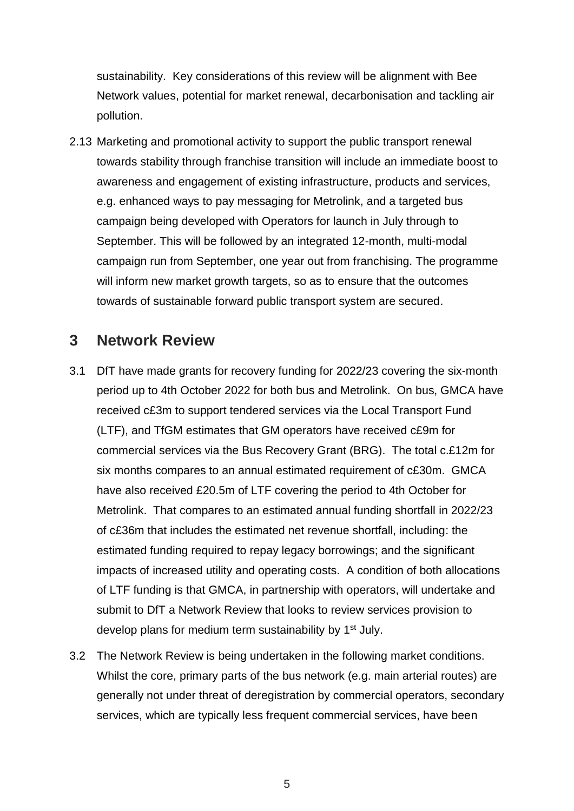sustainability. Key considerations of this review will be alignment with Bee Network values, potential for market renewal, decarbonisation and tackling air pollution.

2.13 Marketing and promotional activity to support the public transport renewal towards stability through franchise transition will include an immediate boost to awareness and engagement of existing infrastructure, products and services, e.g. enhanced ways to pay messaging for Metrolink, and a targeted bus campaign being developed with Operators for launch in July through to September. This will be followed by an integrated 12-month, multi-modal campaign run from September, one year out from franchising. The programme will inform new market growth targets, so as to ensure that the outcomes towards of sustainable forward public transport system are secured.

### **3 Network Review**

- 3.1 DfT have made grants for recovery funding for 2022/23 covering the six-month period up to 4th October 2022 for both bus and Metrolink. On bus, GMCA have received c£3m to support tendered services via the Local Transport Fund (LTF), and TfGM estimates that GM operators have received c£9m for commercial services via the Bus Recovery Grant (BRG). The total c.£12m for six months compares to an annual estimated requirement of c£30m. GMCA have also received £20.5m of LTF covering the period to 4th October for Metrolink. That compares to an estimated annual funding shortfall in 2022/23 of c£36m that includes the estimated net revenue shortfall, including: the estimated funding required to repay legacy borrowings; and the significant impacts of increased utility and operating costs. A condition of both allocations of LTF funding is that GMCA, in partnership with operators, will undertake and submit to DfT a Network Review that looks to review services provision to develop plans for medium term sustainability by 1<sup>st</sup> July.
- 3.2 The Network Review is being undertaken in the following market conditions. Whilst the core, primary parts of the bus network (e.g. main arterial routes) are generally not under threat of deregistration by commercial operators, secondary services, which are typically less frequent commercial services, have been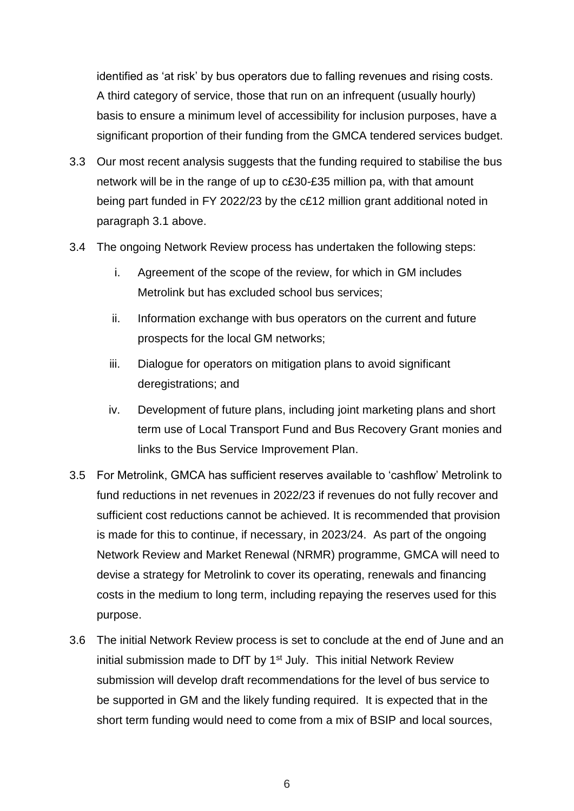identified as 'at risk' by bus operators due to falling revenues and rising costs. A third category of service, those that run on an infrequent (usually hourly) basis to ensure a minimum level of accessibility for inclusion purposes, have a significant proportion of their funding from the GMCA tendered services budget.

- 3.3 Our most recent analysis suggests that the funding required to stabilise the bus network will be in the range of up to c£30-£35 million pa, with that amount being part funded in FY 2022/23 by the c£12 million grant additional noted in paragraph 3.1 above.
- 3.4 The ongoing Network Review process has undertaken the following steps:
	- i. Agreement of the scope of the review, for which in GM includes Metrolink but has excluded school bus services;
	- ii. Information exchange with bus operators on the current and future prospects for the local GM networks;
	- iii. Dialogue for operators on mitigation plans to avoid significant deregistrations; and
	- iv. Development of future plans, including joint marketing plans and short term use of Local Transport Fund and Bus Recovery Grant monies and links to the Bus Service Improvement Plan.
- 3.5 For Metrolink, GMCA has sufficient reserves available to 'cashflow' Metrolink to fund reductions in net revenues in 2022/23 if revenues do not fully recover and sufficient cost reductions cannot be achieved. It is recommended that provision is made for this to continue, if necessary, in 2023/24. As part of the ongoing Network Review and Market Renewal (NRMR) programme, GMCA will need to devise a strategy for Metrolink to cover its operating, renewals and financing costs in the medium to long term, including repaying the reserves used for this purpose.
- 3.6 The initial Network Review process is set to conclude at the end of June and an initial submission made to DfT by 1<sup>st</sup> July. This initial Network Review submission will develop draft recommendations for the level of bus service to be supported in GM and the likely funding required. It is expected that in the short term funding would need to come from a mix of BSIP and local sources,

6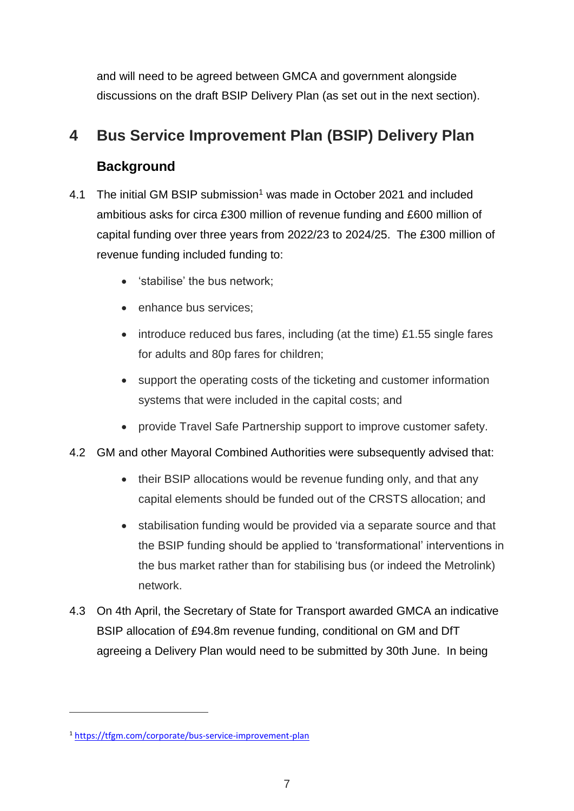and will need to be agreed between GMCA and government alongside discussions on the draft BSIP Delivery Plan (as set out in the next section).

## **4 Bus Service Improvement Plan (BSIP) Delivery Plan**

## **Background**

- 4.1 The initial GM BSIP submission<sup>1</sup> was made in October 2021 and included ambitious asks for circa £300 million of revenue funding and £600 million of capital funding over three years from 2022/23 to 2024/25. The £300 million of revenue funding included funding to:
	- 'stabilise' the bus network;
	- enhance bus services:
	- introduce reduced bus fares, including (at the time) £1.55 single fares for adults and 80p fares for children;
	- support the operating costs of the ticketing and customer information systems that were included in the capital costs; and
	- provide Travel Safe Partnership support to improve customer safety.
- 4.2 GM and other Mayoral Combined Authorities were subsequently advised that:
	- their BSIP allocations would be revenue funding only, and that any capital elements should be funded out of the CRSTS allocation; and
	- stabilisation funding would be provided via a separate source and that the BSIP funding should be applied to 'transformational' interventions in the bus market rather than for stabilising bus (or indeed the Metrolink) network.
- 4.3 On 4th April, the Secretary of State for Transport awarded GMCA an indicative BSIP allocation of £94.8m revenue funding, conditional on GM and DfT agreeing a Delivery Plan would need to be submitted by 30th June. In being

 $\overline{a}$ 

<sup>1</sup> <https://tfgm.com/corporate/bus-service-improvement-plan>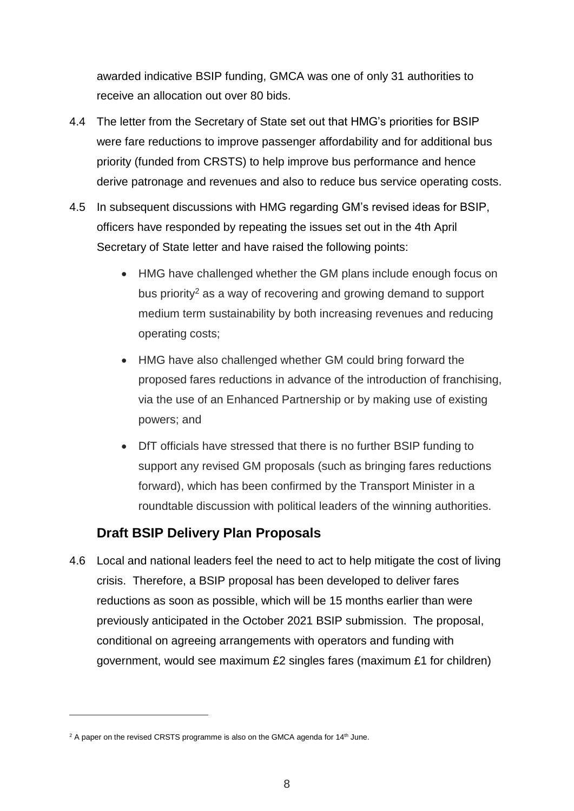awarded indicative BSIP funding, GMCA was one of only 31 authorities to receive an allocation out over 80 bids.

- 4.4 The letter from the Secretary of State set out that HMG's priorities for BSIP were fare reductions to improve passenger affordability and for additional bus priority (funded from CRSTS) to help improve bus performance and hence derive patronage and revenues and also to reduce bus service operating costs.
- 4.5 In subsequent discussions with HMG regarding GM's revised ideas for BSIP, officers have responded by repeating the issues set out in the 4th April Secretary of State letter and have raised the following points:
	- HMG have challenged whether the GM plans include enough focus on bus priority<sup>2</sup> as a way of recovering and growing demand to support medium term sustainability by both increasing revenues and reducing operating costs;
	- HMG have also challenged whether GM could bring forward the proposed fares reductions in advance of the introduction of franchising, via the use of an Enhanced Partnership or by making use of existing powers; and
	- DfT officials have stressed that there is no further BSIP funding to support any revised GM proposals (such as bringing fares reductions forward), which has been confirmed by the Transport Minister in a roundtable discussion with political leaders of the winning authorities.

### **Draft BSIP Delivery Plan Proposals**

4.6 Local and national leaders feel the need to act to help mitigate the cost of living crisis. Therefore, a BSIP proposal has been developed to deliver fares reductions as soon as possible, which will be 15 months earlier than were previously anticipated in the October 2021 BSIP submission. The proposal, conditional on agreeing arrangements with operators and funding with government, would see maximum £2 singles fares (maximum £1 for children)

 $\overline{a}$ 

 $2$  A paper on the revised CRSTS programme is also on the GMCA agenda for 14<sup>th</sup> June.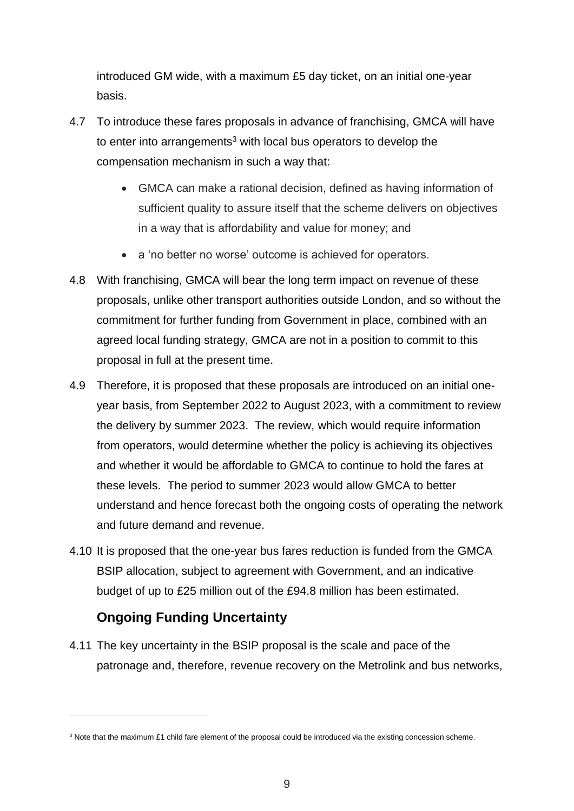introduced GM wide, with a maximum £5 day ticket, on an initial one-year basis.

- 4.7 To introduce these fares proposals in advance of franchising, GMCA will have to enter into arrangements<sup>3</sup> with local bus operators to develop the compensation mechanism in such a way that:
	- GMCA can make a rational decision, defined as having information of sufficient quality to assure itself that the scheme delivers on objectives in a way that is affordability and value for money; and
	- a 'no better no worse' outcome is achieved for operators.
- 4.8 With franchising, GMCA will bear the long term impact on revenue of these proposals, unlike other transport authorities outside London, and so without the commitment for further funding from Government in place, combined with an agreed local funding strategy, GMCA are not in a position to commit to this proposal in full at the present time.
- 4.9 Therefore, it is proposed that these proposals are introduced on an initial oneyear basis, from September 2022 to August 2023, with a commitment to review the delivery by summer 2023. The review, which would require information from operators, would determine whether the policy is achieving its objectives and whether it would be affordable to GMCA to continue to hold the fares at these levels. The period to summer 2023 would allow GMCA to better understand and hence forecast both the ongoing costs of operating the network and future demand and revenue.
- 4.10 It is proposed that the one-year bus fares reduction is funded from the GMCA BSIP allocation, subject to agreement with Government, and an indicative budget of up to £25 million out of the £94.8 million has been estimated.

## **Ongoing Funding Uncertainty**

 $\overline{a}$ 

4.11 The key uncertainty in the BSIP proposal is the scale and pace of the patronage and, therefore, revenue recovery on the Metrolink and bus networks,

<sup>3</sup> Note that the maximum £1 child fare element of the proposal could be introduced via the existing concession scheme.